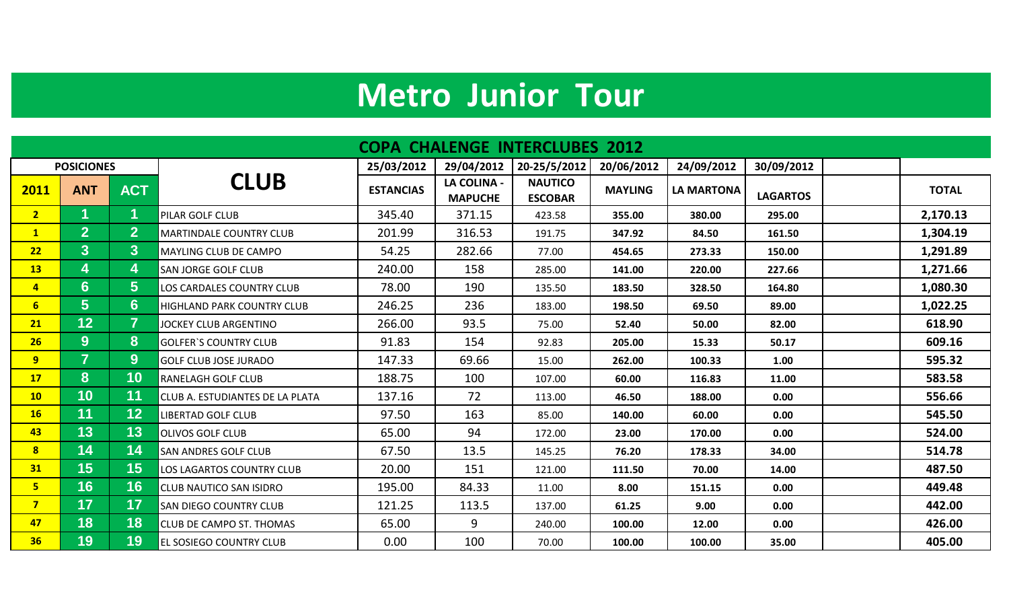## **Metro Junior Tour**

| <b>COPA CHALENGE INTERCLUBES 2012</b> |                   |                  |                                        |                  |                                      |                                  |                |                   |                 |              |
|---------------------------------------|-------------------|------------------|----------------------------------------|------------------|--------------------------------------|----------------------------------|----------------|-------------------|-----------------|--------------|
|                                       | <b>POSICIONES</b> |                  |                                        | 25/03/2012       | 29/04/2012                           | 20-25/5/2012                     | 20/06/2012     | 24/09/2012        | 30/09/2012      |              |
| 2011                                  | <b>ANT</b>        | <b>ACT</b>       | <b>CLUB</b>                            | <b>ESTANCIAS</b> | <b>LA COLINA -</b><br><b>MAPUCHE</b> | <b>NAUTICO</b><br><b>ESCOBAR</b> | <b>MAYLING</b> | <b>LA MARTONA</b> | <b>LAGARTOS</b> | <b>TOTAL</b> |
| 2 <sup>7</sup>                        | 1.                | 1                | PILAR GOLF CLUB                        | 345.40           | 371.15                               | 423.58                           | 355.00         | 380.00            | 295.00          | 2,170.13     |
| 1                                     | 2 <sup>1</sup>    | $\mathbf{2}$     | <b>MARTINDALE COUNTRY CLUB</b>         | 201.99           | 316.53                               | 191.75                           | 347.92         | 84.50             | 161.50          | 1,304.19     |
| 22                                    | 3 <sup>1</sup>    | 3 <sup>1</sup>   | <b>MAYLING CLUB DE CAMPO</b>           | 54.25            | 282.66                               | 77.00                            | 454.65         | 273.33            | 150.00          | 1,291.89     |
| 13                                    | 4                 | 4                | <b>SAN JORGE GOLF CLUB</b>             | 240.00           | 158                                  | 285.00                           | 141.00         | 220.00            | 227.66          | 1,271.66     |
| $\overline{4}$                        | $6 \overline{6}$  | 5 <sup>1</sup>   | LOS CARDALES COUNTRY CLUB              | 78.00            | 190                                  | 135.50                           | 183.50         | 328.50            | 164.80          | 1,080.30     |
| 6 <sup>1</sup>                        | 5 <sup>5</sup>    | $6 \overline{6}$ | HIGHLAND PARK COUNTRY CLUB             | 246.25           | 236                                  | 183.00                           | 198.50         | 69.50             | 89.00           | 1,022.25     |
| 21                                    | 12                | $\overline{7}$   | JOCKEY CLUB ARGENTINO                  | 266.00           | 93.5                                 | 75.00                            | 52.40          | 50.00             | 82.00           | 618.90       |
| 26                                    | 9                 | 8                | <b>GOLFER'S COUNTRY CLUB</b>           | 91.83            | 154                                  | 92.83                            | 205.00         | 15.33             | 50.17           | 609.16       |
| 9 <sup>°</sup>                        | $\overline{7}$    | $9^{\circ}$      | <b>GOLF CLUB JOSE JURADO</b>           | 147.33           | 69.66                                | 15.00                            | 262.00         | 100.33            | 1.00            | 595.32       |
| 17 <sup>2</sup>                       | 8                 | 10               | <b>RANELAGH GOLF CLUB</b>              | 188.75           | 100                                  | 107.00                           | 60.00          | 116.83            | 11.00           | 583.58       |
| 10 <sub>1</sub>                       | 10                | 11               | <b>CLUB A. ESTUDIANTES DE LA PLATA</b> | 137.16           | 72                                   | 113.00                           | 46.50          | 188.00            | 0.00            | 556.66       |
| 16                                    | 11                | 12 <sub>2</sub>  | <b>LIBERTAD GOLF CLUB</b>              | 97.50            | 163                                  | 85.00                            | 140.00         | 60.00             | 0.00            | 545.50       |
| 43                                    | 13                | 13               | <b>OLIVOS GOLF CLUB</b>                | 65.00            | 94                                   | 172.00                           | 23.00          | 170.00            | 0.00            | 524.00       |
| 8 <sup>1</sup>                        | 14                | 14               | <b>SAN ANDRES GOLF CLUB</b>            | 67.50            | 13.5                                 | 145.25                           | 76.20          | 178.33            | 34.00           | 514.78       |
| 31                                    | 15                | 15               | LOS LAGARTOS COUNTRY CLUB              | 20.00            | 151                                  | 121.00                           | 111.50         | 70.00             | 14.00           | 487.50       |
| 5 <sub>1</sub>                        | 16                | 16               | <b>CLUB NAUTICO SAN ISIDRO</b>         | 195.00           | 84.33                                | 11.00                            | 8.00           | 151.15            | 0.00            | 449.48       |
| 7 <sup>7</sup>                        | 17                | 17               | <b>SAN DIEGO COUNTRY CLUB</b>          | 121.25           | 113.5                                | 137.00                           | 61.25          | 9.00              | 0.00            | 442.00       |
| 47                                    | 18                | 18               | <b>CLUB DE CAMPO ST. THOMAS</b>        | 65.00            | 9                                    | 240.00                           | 100.00         | 12.00             | 0.00            | 426.00       |
| 36                                    | 19                | 19               | <b>EL SOSIEGO COUNTRY CLUB</b>         | 0.00             | 100                                  | 70.00                            | 100.00         | 100.00            | 35.00           | 405.00       |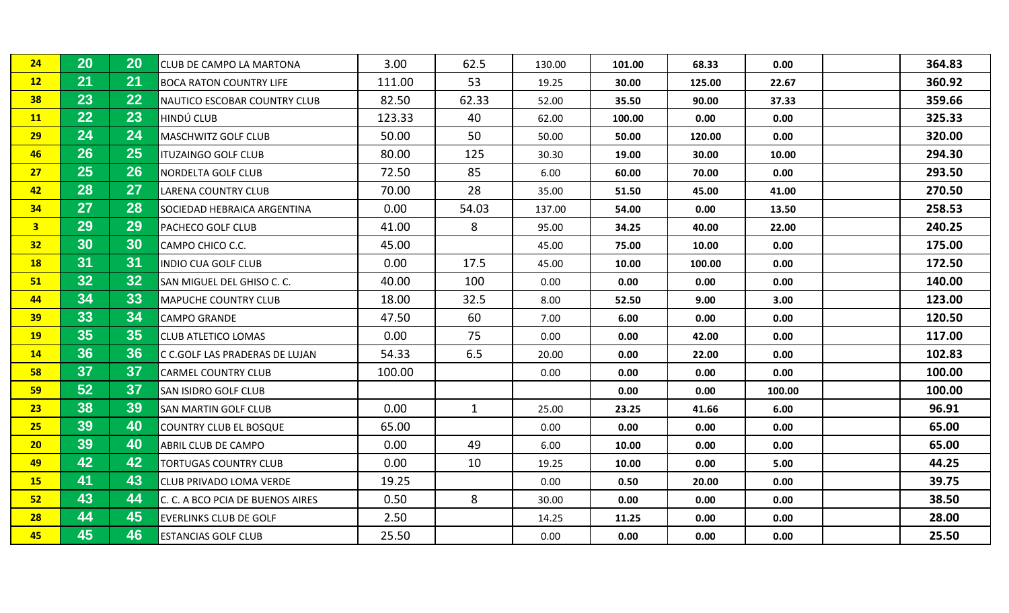| 24              | 20              | 20              | <b>CLUB DE CAMPO LA MARTONA</b>  | 3.00   | 62.5         | 130.00 | 101.00 | 68.33  | 0.00   | 364.83 |
|-----------------|-----------------|-----------------|----------------------------------|--------|--------------|--------|--------|--------|--------|--------|
| 12              | 21              | 21              | <b>BOCA RATON COUNTRY LIFE</b>   | 111.00 | 53           | 19.25  | 30.00  | 125.00 | 22.67  | 360.92 |
| 38              | 23              | 22              | NAUTICO ESCOBAR COUNTRY CLUB     | 82.50  | 62.33        | 52.00  | 35.50  | 90.00  | 37.33  | 359.66 |
| <b>11</b>       | 22              | 23              | HINDÚ CLUB                       | 123.33 | 40           | 62.00  | 100.00 | 0.00   | 0.00   | 325.33 |
| 29              | 24              | 24              | <b>MASCHWITZ GOLF CLUB</b>       | 50.00  | 50           | 50.00  | 50.00  | 120.00 | 0.00   | 320.00 |
| 46              | 26              | 25              | <b>ITUZAINGO GOLF CLUB</b>       | 80.00  | 125          | 30.30  | 19.00  | 30.00  | 10.00  | 294.30 |
| 27              | 25              | 26              | NORDELTA GOLF CLUB               | 72.50  | 85           | 6.00   | 60.00  | 70.00  | 0.00   | 293.50 |
| 42              | 28              | 27              | LARENA COUNTRY CLUB              | 70.00  | 28           | 35.00  | 51.50  | 45.00  | 41.00  | 270.50 |
| 34              | 27              | 28              | SOCIEDAD HEBRAICA ARGENTINA      | 0.00   | 54.03        | 137.00 | 54.00  | 0.00   | 13.50  | 258.53 |
| 3 <sup>7</sup>  | 29              | 29              | PACHECO GOLF CLUB                | 41.00  | 8            | 95.00  | 34.25  | 40.00  | 22.00  | 240.25 |
| 32 <sub>2</sub> | 30              | 30              | CAMPO CHICO C.C.                 | 45.00  |              | 45.00  | 75.00  | 10.00  | 0.00   | 175.00 |
| <b>18</b>       | 31              | 31              | <b>INDIO CUA GOLF CLUB</b>       | 0.00   | 17.5         | 45.00  | 10.00  | 100.00 | 0.00   | 172.50 |
| 51              | 32 <sub>2</sub> | 32 <sub>2</sub> | SAN MIGUEL DEL GHISO C. C.       | 40.00  | 100          | 0.00   | 0.00   | 0.00   | 0.00   | 140.00 |
| 44              | 34              | 33              | <b>MAPUCHE COUNTRY CLUB</b>      | 18.00  | 32.5         | 8.00   | 52.50  | 9.00   | 3.00   | 123.00 |
| 39              | 33              | 34              | <b>CAMPO GRANDE</b>              | 47.50  | 60           | 7.00   | 6.00   | 0.00   | 0.00   | 120.50 |
| <b>19</b>       | 35              | 35              | <b>CLUB ATLETICO LOMAS</b>       | 0.00   | 75           | 0.00   | 0.00   | 42.00  | 0.00   | 117.00 |
| 14              | 36              | 36              | C C.GOLF LAS PRADERAS DE LUJAN   | 54.33  | 6.5          | 20.00  | 0.00   | 22.00  | 0.00   | 102.83 |
| 58              | 37              | 37              | <b>CARMEL COUNTRY CLUB</b>       | 100.00 |              | 0.00   | 0.00   | 0.00   | 0.00   | 100.00 |
| 59              | 52              | 37              | SAN ISIDRO GOLF CLUB             |        |              |        | 0.00   | 0.00   | 100.00 | 100.00 |
| 23              | 38              | 39              | <b>SAN MARTIN GOLF CLUB</b>      | 0.00   | $\mathbf{1}$ | 25.00  | 23.25  | 41.66  | 6.00   | 96.91  |
| 25              | 39              | 40              | <b>COUNTRY CLUB EL BOSQUE</b>    | 65.00  |              | 0.00   | 0.00   | 0.00   | 0.00   | 65.00  |
| 20 <sub>2</sub> | 39              | 40              | ABRIL CLUB DE CAMPO              | 0.00   | 49           | 6.00   | 10.00  | 0.00   | 0.00   | 65.00  |
| 49              | 42              | 42              | <b>TORTUGAS COUNTRY CLUB</b>     | 0.00   | 10           | 19.25  | 10.00  | 0.00   | 5.00   | 44.25  |
| 15              | 41              | 43              | <b>CLUB PRIVADO LOMA VERDE</b>   | 19.25  |              | 0.00   | 0.50   | 20.00  | 0.00   | 39.75  |
| 52              | 43              | 44              | C. C. A BCO PCIA DE BUENOS AIRES | 0.50   | 8            | 30.00  | 0.00   | 0.00   | 0.00   | 38.50  |
| 28              | 44              | 45              | <b>EVERLINKS CLUB DE GOLF</b>    | 2.50   |              | 14.25  | 11.25  | 0.00   | 0.00   | 28.00  |
| 45              | 45              | 46              | <b>ESTANCIAS GOLF CLUB</b>       | 25.50  |              | 0.00   | 0.00   | 0.00   | 0.00   | 25.50  |